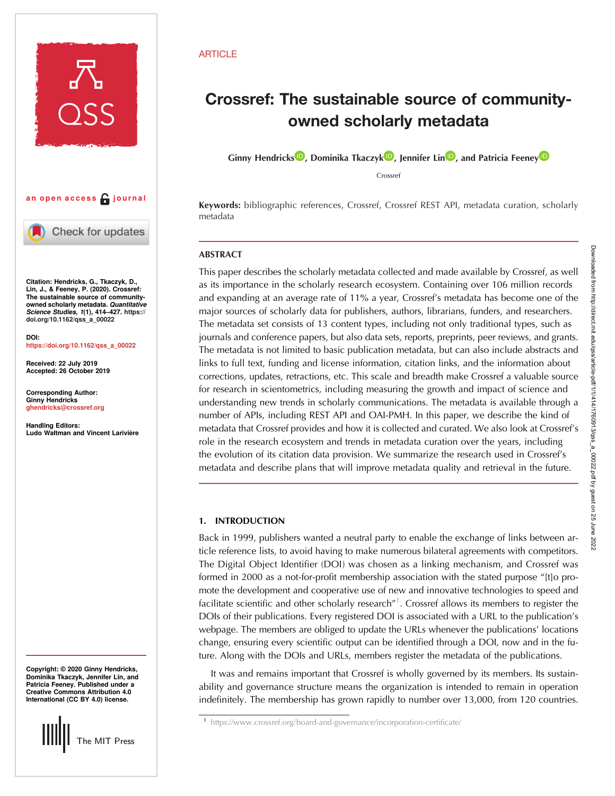

Copyright: © 2020 Ginny Hendricks, Dominika Tkaczyk, Jennifer Lin, and Patricia Feeney. Published under a Creative Commons Attribution 4.0 International (CC BY 4.0) license.



# **ARTICLE**

# Crossref: The sustainable source of communityowned scholarly metadata

Ginny Hendricks<sup>1</sup>[,](https://orcid.org/0000-0001-5055-7876) Domi[n](https://orcid.org/0000-0002-9680-2328)ika Tkaczyk<sup>10</sup>, Jennifer Lin<sup>10</sup>, and Patricia Feeney<sup>10</sup>

Crossref

Keywords: bibliographic references, Crossref, Crossref REST API, metadata curation, scholarly metadata

# ABSTRACT

This paper describes the scholarly metadata collected and made available by Crossref, as well as its importance in the scholarly research ecosystem. Containing over 106 million records and expanding at an average rate of 11% a year, Crossref's metadata has become one of the major sources of scholarly data for publishers, authors, librarians, funders, and researchers. The metadata set consists of 13 content types, including not only traditional types, such as journals and conference papers, but also data sets, reports, preprints, peer reviews, and grants. The metadata is not limited to basic publication metadata, but can also include abstracts and links to full text, funding and license information, citation links, and the information about corrections, updates, retractions, etc. This scale and breadth make Crossref a valuable source for research in scientometrics, including measuring the growth and impact of science and understanding new trends in scholarly communications. The metadata is available through a number of APIs, including REST API and OAI-PMH. In this paper, we describe the kind of metadata that Crossref provides and how it is collected and curated. We also look at Crossref's role in the research ecosystem and trends in metadata curation over the years, including the evolution of its citation data provision. We summarize the research used in Crossref's metadata and describe plans that will improve metadata quality and retrieval in the future.

## 1. INTRODUCTION

Back in 1999, publishers wanted a neutral party to enable the exchange of links between article reference lists, to avoid having to make numerous bilateral agreements with competitors. The Digital Object Identifier (DOI) was chosen as a linking mechanism, and Crossref was formed in 2000 as a not-for-profit membership association with the stated purpose "[t]o promote the development and cooperative use of new and innovative technologies to speed and facilitate scientific and other scholarly research"<sup>1</sup>. Crossref allows its members to register the DOIs of their publications. Every registered DOI is associated with a URL to the publication's webpage. The members are obliged to update the URLs whenever the publications' locations change, ensuring every scientific output can be identified through a DOI, now and in the future. Along with the DOIs and URLs, members register the metadata of the publications.

It was and remains important that Crossref is wholly governed by its members. Its sustainability and governance structure means the organization is intended to remain in operation indefinitely. The membership has grown rapidly to number over 13,000, from 120 countries.

<sup>1</sup> <https://www.crossref.org/board-and-governance/incorporation-certificate/>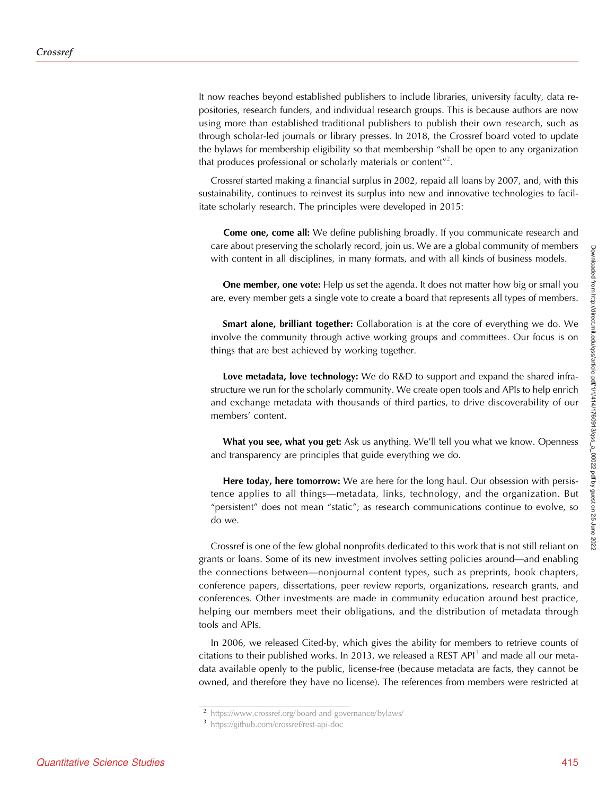It now reaches beyond established publishers to include libraries, university faculty, data repositories, research funders, and individual research groups. This is because authors are now using more than established traditional publishers to publish their own research, such as through scholar-led journals or library presses. In 2018, the Crossref board voted to update the bylaws for membership eligibility so that membership "shall be open to any organization that produces professional or scholarly materials or content"<sup>2</sup>.

Crossref started making a financial surplus in 2002, repaid all loans by 2007, and, with this sustainability, continues to reinvest its surplus into new and innovative technologies to facilitate scholarly research. The principles were developed in 2015:

**Come one, come all:** We define publishing broadly. If you communicate research and care about preserving the scholarly record, join us. We are a global community of members with content in all disciplines, in many formats, and with all kinds of business models.

One member, one vote: Help us set the agenda. It does not matter how big or small you are, every member gets a single vote to create a board that represents all types of members.

Smart alone, brilliant together: Collaboration is at the core of everything we do. We involve the community through active working groups and committees. Our focus is on things that are best achieved by working together.

Love metadata, love technology: We do R&D to support and expand the shared infrastructure we run for the scholarly community. We create open tools and APIs to help enrich and exchange metadata with thousands of third parties, to drive discoverability of our members' content.

What you see, what you get: Ask us anything. We'll tell you what we know. Openness and transparency are principles that guide everything we do.

Here today, here tomorrow: We are here for the long haul. Our obsession with persistence applies to all things—metadata, links, technology, and the organization. But "persistent" does not mean "static"; as research communications continue to evolve, so do we.

Crossref is one of the few global nonprofits dedicated to this work that is not still reliant on grants or loans. Some of its new investment involves setting policies around—and enabling the connections between—nonjournal content types, such as preprints, book chapters, conference papers, dissertations, peer review reports, organizations, research grants, and conferences. Other investments are made in community education around best practice, helping our members meet their obligations, and the distribution of metadata through tools and APIs.

In 2006, we released Cited-by, which gives the ability for members to retrieve counts of citations to their published works. In 2013, we released a REST AP $I<sup>3</sup>$  and made all our metadata available openly to the public, license-free (because metadata are facts, they cannot be owned, and therefore they have no license). The references from members were restricted at

<sup>2</sup> [https://www.crossref.org/board-and-governance/bylaws/](https://www.crossref.org/bylaws/)

<sup>3</sup> [https://github.com/crossref/rest-api-doc](https://github.com/CrossRef/rest-api-doc)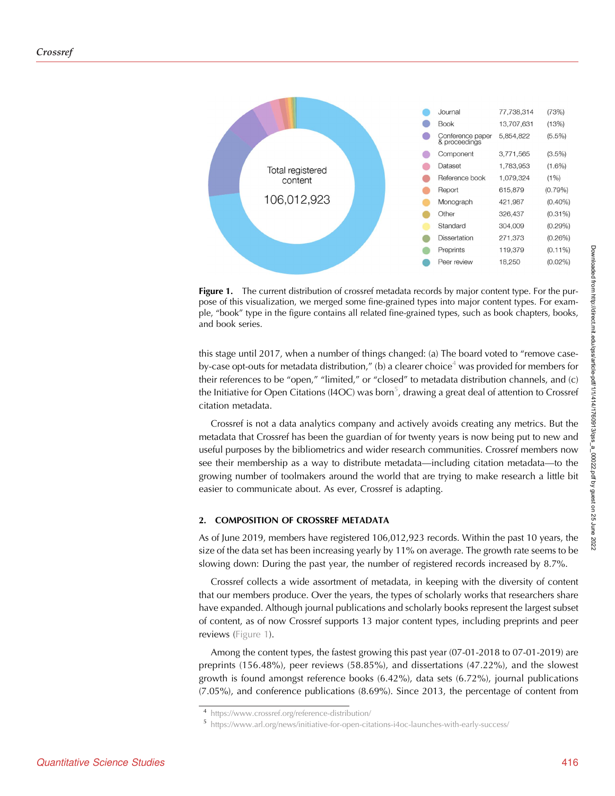<span id="page-2-0"></span>

**Figure 1.** The current distribution of crossref metadata records by major content type. For the purpose of this visualization, we merged some fine-grained types into major content types. For example, "book" type in the figure contains all related fine-grained types, such as book chapters, books, and book series.

this stage until 2017, when a number of things changed: (a) The board voted to "remove caseby-case opt-outs for metadata distribution," (b) a clearer choice<sup>4</sup> was provided for members for their references to be "open," "limited," or "closed" to metadata distribution channels, and (c) the Initiative for Open Citations (I4OC) was born $^5$ , drawing a great deal of attention to Crossref citation metadata.

Crossref is not a data analytics company and actively avoids creating any metrics. But the metadata that Crossref has been the guardian of for twenty years is now being put to new and useful purposes by the bibliometrics and wider research communities. Crossref members now see their membership as a way to distribute metadata—including citation metadata—to the growing number of toolmakers around the world that are trying to make research a little bit easier to communicate about. As ever, Crossref is adapting.

# 2. COMPOSITION OF CROSSREF METADATA

As of June 2019, members have registered 106,012,923 records. Within the past 10 years, the size of the data set has been increasing yearly by 11% on average. The growth rate seems to be slowing down: During the past year, the number of registered records increased by 8.7%.

Crossref collects a wide assortment of metadata, in keeping with the diversity of content that our members produce. Over the years, the types of scholarly works that researchers share have expanded. Although journal publications and scholarly books represent the largest subset of content, as of now Crossref supports 13 major content types, including preprints and peer reviews (Figure 1).

Among the content types, the fastest growing this past year (07-01-2018 to 07-01-2019) are preprints (156.48%), peer reviews (58.85%), and dissertations (47.22%), and the slowest growth is found amongst reference books (6.42%), data sets (6.72%), journal publications (7.05%), and conference publications (8.69%). Since 2013, the percentage of content from

<sup>4</sup> <https://www.crossref.org/reference-distribution/>

<sup>5</sup> <https://www.arl.org/news/initiative-for-open-citations-i4oc-launches-with-early-success/>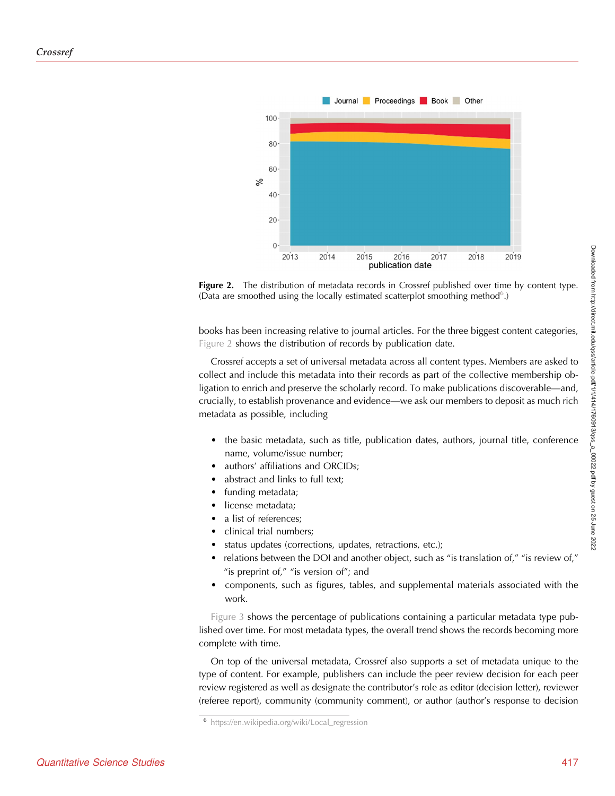



books has been increasing relative to journal articles. For the three biggest content categories, Figure 2 shows the distribution of records by publication date.

Crossref accepts a set of universal metadata across all content types. Members are asked to collect and include this metadata into their records as part of the collective membership obligation to enrich and preserve the scholarly record. To make publications discoverable—and, crucially, to establish provenance and evidence—we ask our members to deposit as much rich metadata as possible, including

- the basic metadata, such as title, publication dates, authors, journal title, conference name, volume/issue number;
- authors' affiliations and ORCIDs;
- abstract and links to full text;
- funding metadata;
- license metadata:
- a list of references:
- clinical trial numbers;
- status updates (corrections, updates, retractions, etc.);
- relations between the DOI and another object, such as "is translation of," "is review of," "is preprint of," "is version of"; and
- components, such as figures, tables, and supplemental materials associated with the work.

[Figure 3](#page-4-0) shows the percentage of publications containing a particular metadata type published over time. For most metadata types, the overall trend shows the records becoming more complete with time.

On top of the universal metadata, Crossref also supports a set of metadata unique to the type of content. For example, publishers can include the peer review decision for each peer review registered as well as designate the contributor's role as editor (decision letter), reviewer (referee report), community (community comment), or author (author's response to decision

<sup>6</sup> [https://en.wikipedia.org/wiki/ Local\\_regression](https://en.wikipedia.org/wiki/Local_regression)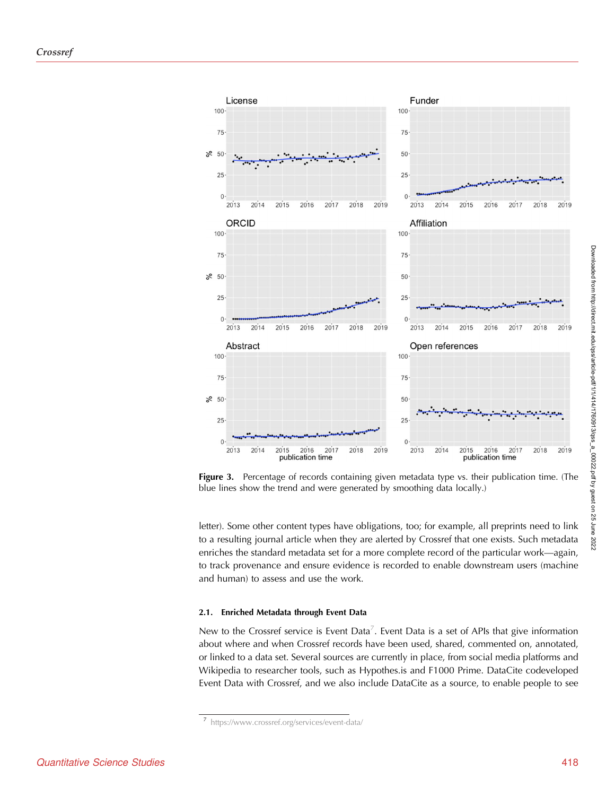<span id="page-4-0"></span>

**Figure 3.** Percentage of records containing given metadata type vs. their publication time. (The blue lines show the trend and were generated by smoothing data locally.)

letter). Some other content types have obligations, too; for example, all preprints need to link to a resulting journal article when they are alerted by Crossref that one exists. Such metadata enriches the standard metadata set for a more complete record of the particular work—again, to track provenance and ensure evidence is recorded to enable downstream users (machine and human) to assess and use the work.

## 2.1. Enriched Metadata through Event Data

New to the Crossref service is Event Data<sup>7</sup>. Event Data is a set of APIs that give information about where and when Crossref records have been used, shared, commented on, annotated, or linked to a data set. Several sources are currently in place, from social media platforms and Wikipedia to researcher tools, such as Hypothes.is and F1000 Prime. DataCite codeveloped Event Data with Crossref, and we also include DataCite as a source, to enable people to see

<sup>7</sup> <https://www.crossref.org/services/event-data/>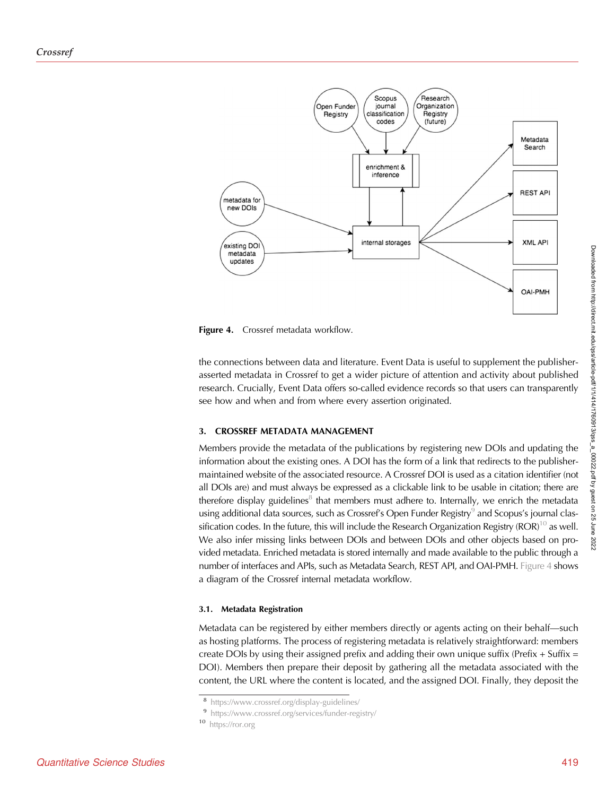

Figure 4. Crossref metadata workflow.

the connections between data and literature. Event Data is useful to supplement the publisherasserted metadata in Crossref to get a wider picture of attention and activity about published research. Crucially, Event Data offers so-called evidence records so that users can transparently see how and when and from where every assertion originated.

## 3. CROSSREF METADATA MANAGEMENT

Members provide the metadata of the publications by registering new DOIs and updating the information about the existing ones. A DOI has the form of a link that redirects to the publishermaintained website of the associated resource. A Crossref DOI is used as a citation identifier (not all DOIs are) and must always be expressed as a clickable link to be usable in citation; there are therefore display guidelines<sup>8</sup> that members must adhere to. Internally, we enrich the metadata using additional data sources, such as Crossref's Open Funder Registry<sup>9</sup> and Scopus's journal classification codes. In the future, this will include the Research Organization Registry ( $ROR$ <sup>10</sup> as well. We also infer missing links between DOIs and between DOIs and other objects based on provided metadata. Enriched metadata is stored internally and made available to the public through a number of interfaces and APIs, such as Metadata Search, REST API, and OAI-PMH. Figure 4 shows a diagram of the Crossref internal metadata workflow.

## 3.1. Metadata Registration

Metadata can be registered by either members directly or agents acting on their behalf—such as hosting platforms. The process of registering metadata is relatively straightforward: members create DOIs by using their assigned prefix and adding their own unique suffix (Prefix + Suffix  $=$ DOI). Members then prepare their deposit by gathering all the metadata associated with the content, the URL where the content is located, and the assigned DOI. Finally, they deposit the

<sup>8</sup> <https://www.crossref.org/display-guidelines/>

<sup>9</sup> <https://www.crossref.org/services/funder-registry/>

<sup>10</sup> <https://ror.org>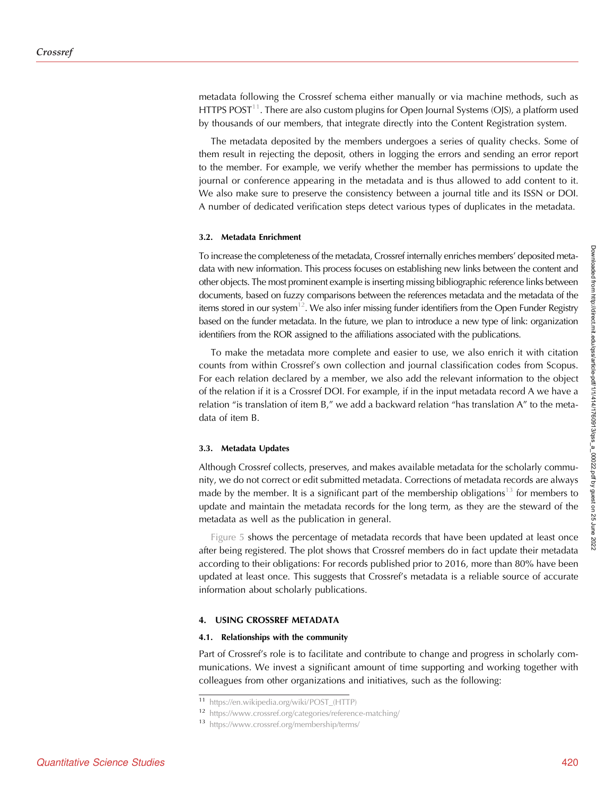metadata following the Crossref schema either manually or via machine methods, such as HTTPS POST<sup>11</sup>. There are also custom plugins for Open Journal Systems (OJS), a platform used by thousands of our members, that integrate directly into the Content Registration system.

The metadata deposited by the members undergoes a series of quality checks. Some of them result in rejecting the deposit, others in logging the errors and sending an error report to the member. For example, we verify whether the member has permissions to update the journal or conference appearing in the metadata and is thus allowed to add content to it. We also make sure to preserve the consistency between a journal title and its ISSN or DOI. A number of dedicated verification steps detect various types of duplicates in the metadata.

# 3.2. Metadata Enrichment

To increase the completeness of the metadata, Crossref internally enriches members' deposited metadata with new information. This process focuses on establishing new links between the content and other objects. The most prominent example is inserting missing bibliographic reference links between documents, based on fuzzy comparisons between the references metadata and the metadata of the items stored in our system<sup>12</sup>. We also infer missing funder identifiers from the Open Funder Registry based on the funder metadata. In the future, we plan to introduce a new type of link: organization identifiers from the ROR assigned to the affiliations associated with the publications.

To make the metadata more complete and easier to use, we also enrich it with citation counts from within Crossref's own collection and journal classification codes from Scopus. For each relation declared by a member, we also add the relevant information to the object of the relation if it is a Crossref DOI. For example, if in the input metadata record A we have a relation "is translation of item B," we add a backward relation "has translation A" to the metadata of item B.

## 3.3. Metadata Updates

Although Crossref collects, preserves, and makes available metadata for the scholarly community, we do not correct or edit submitted metadata. Corrections of metadata records are always made by the member. It is a significant part of the membership obligations<sup>13</sup> for members to update and maintain the metadata records for the long term, as they are the steward of the metadata as well as the publication in general.

[Figure 5](#page-7-0) shows the percentage of metadata records that have been updated at least once after being registered. The plot shows that Crossref members do in fact update their metadata according to their obligations: For records published prior to 2016, more than 80% have been updated at least once. This suggests that Crossref's metadata is a reliable source of accurate information about scholarly publications.

#### 4. USING CROSSREF METADATA

#### 4.1. Relationships with the community

Part of Crossref's role is to facilitate and contribute to change and progress in scholarly communications. We invest a significant amount of time supporting and working together with colleagues from other organizations and initiatives, such as the following:

<sup>11</sup> [https://en.wikipedia.org/wiki/POST\\_\(HTTP\)](https://en.wikipedia.org/wiki/POST_(HTTP))

<sup>12</sup> [https://www.crossref.org/categories/reference-matching/](https://www.crossref.org/categories/linking/)

<sup>13</sup> <https://www.crossref.org/membership/terms/>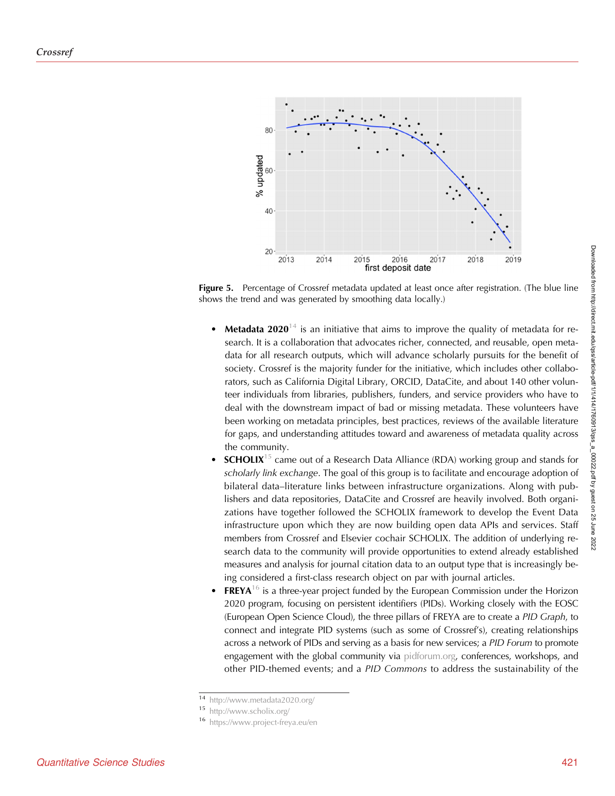<span id="page-7-0"></span>

Figure 5. Percentage of Crossref metadata updated at least once after registration. (The blue line shows the trend and was generated by smoothing data locally.)

- **Metadata 2020**<sup> $14$ </sup> is an initiative that aims to improve the quality of metadata for research. It is a collaboration that advocates richer, connected, and reusable, open metadata for all research outputs, which will advance scholarly pursuits for the benefit of society. Crossref is the majority funder for the initiative, which includes other collaborators, such as California Digital Library, ORCID, DataCite, and about 140 other volunteer individuals from libraries, publishers, funders, and service providers who have to deal with the downstream impact of bad or missing metadata. These volunteers have been working on metadata principles, best practices, reviews of the available literature for gaps, and understanding attitudes toward and awareness of metadata quality across the community.
- **SCHOLIX**<sup>15</sup> came out of a Research Data Alliance (RDA) working group and stands for scholarly link exchange. The goal of this group is to facilitate and encourage adoption of bilateral data–literature links between infrastructure organizations. Along with publishers and data repositories, DataCite and Crossref are heavily involved. Both organizations have together followed the SCHOLIX framework to develop the Event Data infrastructure upon which they are now building open data APIs and services. Staff members from Crossref and Elsevier cochair SCHOLIX. The addition of underlying research data to the community will provide opportunities to extend already established measures and analysis for journal citation data to an output type that is increasingly being considered a first-class research object on par with journal articles.
- **FREYA**<sup>16</sup> is a three-year project funded by the European Commission under the Horizon 2020 program, focusing on persistent identifiers (PIDs). Working closely with the EOSC (European Open Science Cloud), the three pillars of FREYA are to create a PID Graph, to connect and integrate PID systems (such as some of Crossref's), creating relationships across a network of PIDs and serving as a basis for new services; a PID Forum to promote engagement with the global community via [pidforum.org,](http://pidforum.org) conferences, workshops, and other PID-themed events; and a PID Commons to address the sustainability of the

<sup>14</sup> <http://www.metadata2020.org/>

<sup>15</sup> <http://www.scholix.org/>

<sup>16</sup> <https://www.project-freya.eu/en>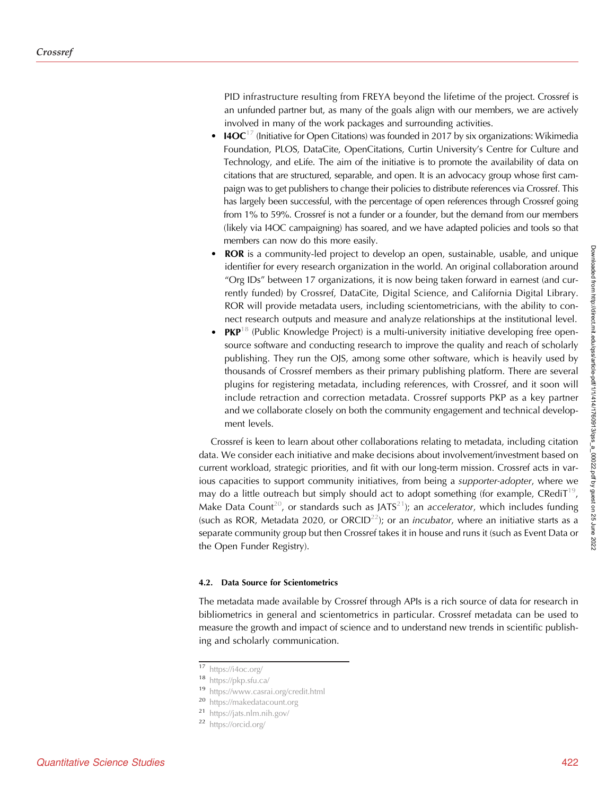PID infrastructure resulting from FREYA beyond the lifetime of the project. Crossref is an unfunded partner but, as many of the goals align with our members, we are actively involved in many of the work packages and surrounding activities.

- **14OC**<sup>17</sup> (Initiative for Open Citations) was founded in 2017 by six organizations: Wikimedia Foundation, PLOS, DataCite, OpenCitations, Curtin University's Centre for Culture and Technology, and eLife. The aim of the initiative is to promote the availability of data on citations that are structured, separable, and open. It is an advocacy group whose first campaign was to get publishers to change their policies to distribute references via Crossref. This has largely been successful, with the percentage of open references through Crossref going from 1% to 59%. Crossref is not a funder or a founder, but the demand from our members (likely via I4OC campaigning) has soared, and we have adapted policies and tools so that members can now do this more easily.
- ROR is a community-led project to develop an open, sustainable, usable, and unique identifier for every research organization in the world. An original collaboration around "Org IDs" between 17 organizations, it is now being taken forward in earnest (and currently funded) by Crossref, DataCite, Digital Science, and California Digital Library. ROR will provide metadata users, including scientometricians, with the ability to connect research outputs and measure and analyze relationships at the institutional level.
- $PKP<sup>18</sup>$  (Public Knowledge Project) is a multi-university initiative developing free opensource software and conducting research to improve the quality and reach of scholarly publishing. They run the OJS, among some other software, which is heavily used by thousands of Crossref members as their primary publishing platform. There are several plugins for registering metadata, including references, with Crossref, and it soon will include retraction and correction metadata. Crossref supports PKP as a key partner and we collaborate closely on both the community engagement and technical development levels.

Crossref is keen to learn about other collaborations relating to metadata, including citation data. We consider each initiative and make decisions about involvement/investment based on current workload, strategic priorities, and fit with our long-term mission. Crossref acts in various capacities to support community initiatives, from being a *supporter-adopter*, where we may do a little outreach but simply should act to adopt something (for example, CRediT<sup>19</sup>, Make Data Count<sup>20</sup>, or standards such as JATS<sup>21</sup>); an accelerator, which includes funding (such as ROR, Metadata 2020, or ORCID<sup>22</sup>); or an *incubator*, where an initiative starts as a separate community group but then Crossref takes it in house and runs it (such as Event Data or the Open Funder Registry).

## 4.2. Data Source for Scientometrics

The metadata made available by Crossref through APIs is a rich source of data for research in bibliometrics in general and scientometrics in particular. Crossref metadata can be used to measure the growth and impact of science and to understand new trends in scientific publishing and scholarly communication.

<sup>17</sup> <https://i4oc.org/>

<sup>18</sup> <https://pkp.sfu.ca/>

<sup>19</sup> <https://www.casrai.org/credit.html>

<sup>20</sup> [https://makedatacount.org](https://makedatacount.org/)

<sup>21</sup> <https://jats.nlm.nih.gov/>

<sup>22</sup> <https://orcid.org/>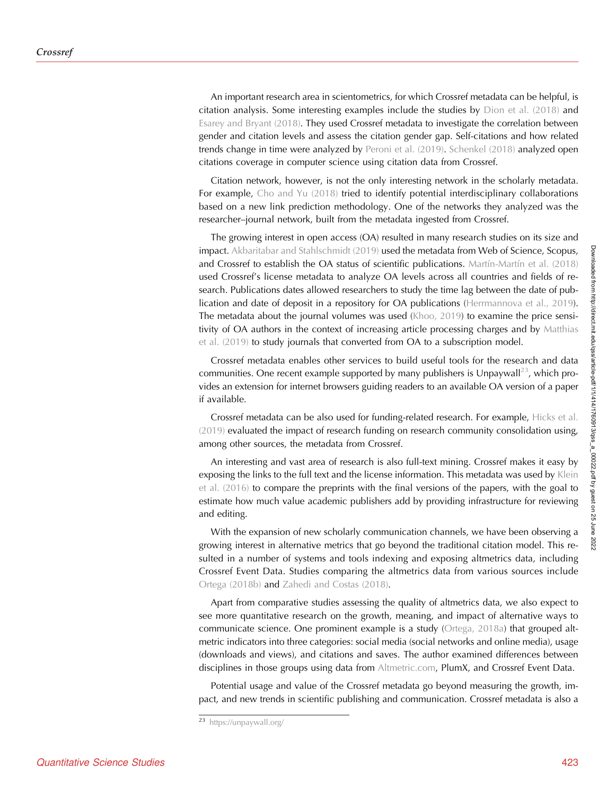An important research area in scientometrics, for which Crossref metadata can be helpful, is citation analysis. Some interesting examples include the studies by [Dion et al. \(2018\)](#page-13-0) and [Esarey and Bryant \(2018\)](#page-13-0). They used Crossref metadata to investigate the correlation between gender and citation levels and assess the citation gender gap. Self-citations and how related trends change in time were analyzed by [Peroni et al. \(2019\).](#page-13-0) [Schenkel \(2018\)](#page-13-0) analyzed open citations coverage in computer science using citation data from Crossref.

Citation network, however, is not the only interesting network in the scholarly metadata. For example, [Cho and Yu \(2018\)](#page-13-0) tried to identify potential interdisciplinary collaborations based on a new link prediction methodology. One of the networks they analyzed was the researcher–journal network, built from the metadata ingested from Crossref.

The growing interest in open access (OA) resulted in many research studies on its size and impact. [Akbaritabar and Stahlschmidt \(2019\)](#page-13-0) used the metadata from Web of Science, Scopus, and Crossref to establish the OA status of scientific publications. [Martín-Martín et al. \(2018\)](#page-13-0) used Crossref's license metadata to analyze OA levels across all countries and fields of research. Publications dates allowed researchers to study the time lag between the date of publication and date of deposit in a repository for OA publications [\(Herrmannova et al., 2019\)](#page-13-0). The metadata about the journal volumes was used [\(Khoo, 2019](#page-13-0)) to examine the price sensitivity of OA authors in the context of increasing article processing charges and by [Matthias](#page-13-0) [et al. \(2019\)](#page-13-0) to study journals that converted from OA to a subscription model.

Crossref metadata enables other services to build useful tools for the research and data communities. One recent example supported by many publishers is Unpaywall<sup>23</sup>, which provides an extension for internet browsers guiding readers to an available OA version of a paper if available.

Crossref metadata can be also used for funding-related research. For example, [Hicks et al.](#page-13-0) [\(2019\)](#page-13-0) evaluated the impact of research funding on research community consolidation using, among other sources, the metadata from Crossref.

An interesting and vast area of research is also full-text mining. Crossref makes it easy by exposing the links to the full text and the license information. This metadata was used by [Klein](#page-13-0) [et al. \(2016\)](#page-13-0) to compare the preprints with the final versions of the papers, with the goal to estimate how much value academic publishers add by providing infrastructure for reviewing and editing.

With the expansion of new scholarly communication channels, we have been observing a growing interest in alternative metrics that go beyond the traditional citation model. This resulted in a number of systems and tools indexing and exposing altmetrics data, including Crossref Event Data. Studies comparing the altmetrics data from various sources include [Ortega \(2018b\)](#page-13-0) and [Zahedi and Costas \(2018\).](#page-13-0)

Apart from comparative studies assessing the quality of altmetrics data, we also expect to see more quantitative research on the growth, meaning, and impact of alternative ways to communicate science. One prominent example is a study [\(Ortega, 2018a\)](#page-13-0) that grouped altmetric indicators into three categories: social media (social networks and online media), usage (downloads and views), and citations and saves. The author examined differences between disciplines in those groups using data from [Altmetric.com,](http://Altmetric.com) PlumX, and Crossref Event Data.

Potential usage and value of the Crossref metadata go beyond measuring the growth, impact, and new trends in scientific publishing and communication. Crossref metadata is also a

<sup>23</sup> <https://unpaywall.org/>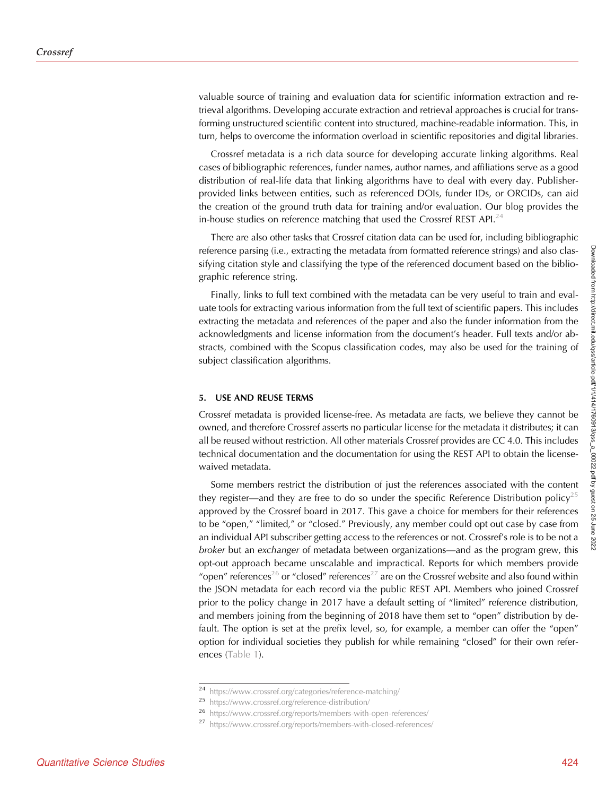valuable source of training and evaluation data for scientific information extraction and retrieval algorithms. Developing accurate extraction and retrieval approaches is crucial for transforming unstructured scientific content into structured, machine-readable information. This, in turn, helps to overcome the information overload in scientific repositories and digital libraries.

Crossref metadata is a rich data source for developing accurate linking algorithms. Real cases of bibliographic references, funder names, author names, and affiliations serve as a good distribution of real-life data that linking algorithms have to deal with every day. Publisherprovided links between entities, such as referenced DOIs, funder IDs, or ORCIDs, can aid the creation of the ground truth data for training and/or evaluation. Our blog provides the in-house studies on reference matching that used the Crossref REST API. $^{24}$ 

There are also other tasks that Crossref citation data can be used for, including bibliographic reference parsing (i.e., extracting the metadata from formatted reference strings) and also classifying citation style and classifying the type of the referenced document based on the bibliographic reference string.

Finally, links to full text combined with the metadata can be very useful to train and evaluate tools for extracting various information from the full text of scientific papers. This includes extracting the metadata and references of the paper and also the funder information from the acknowledgments and license information from the document's header. Full texts and/or abstracts, combined with the Scopus classification codes, may also be used for the training of subject classification algorithms.

## 5. USE AND REUSE TERMS

Crossref metadata is provided license-free. As metadata are facts, we believe they cannot be owned, and therefore Crossref asserts no particular license for the metadata it distributes; it can all be reused without restriction. All other materials Crossref provides are CC 4.0. This includes technical documentation and the documentation for using the REST API to obtain the licensewaived metadata.

Some members restrict the distribution of just the references associated with the content they register—and they are free to do so under the specific Reference Distribution policy<sup>2</sup> approved by the Crossref board in 2017. This gave a choice for members for their references to be "open," "limited," or "closed." Previously, any member could opt out case by case from an individual API subscriber getting access to the references or not. Crossref's role is to be not a broker but an exchanger of metadata between organizations—and as the program grew, this opt-out approach became unscalable and impractical. Reports for which members provide "open" references<sup>26</sup> or "closed" references<sup>27</sup> are on the Crossref website and also found within the JSON metadata for each record via the public REST API. Members who joined Crossref prior to the policy change in 2017 have a default setting of "limited" reference distribution, and members joining from the beginning of 2018 have them set to "open" distribution by default. The option is set at the prefix level, so, for example, a member can offer the "open" option for individual societies they publish for while remaining "closed" for their own references ([Table 1\)](#page-11-0).

<sup>24</sup> <https://www.crossref.org/categories/reference-matching/>

<sup>25</sup> <https://www.crossref.org/reference-distribution/>

<sup>26</sup> <https://www.crossref.org/reports/members-with-open-references/>

<sup>&</sup>lt;sup>27</sup> <https://www.crossref.org/reports/members-with-closed-references/>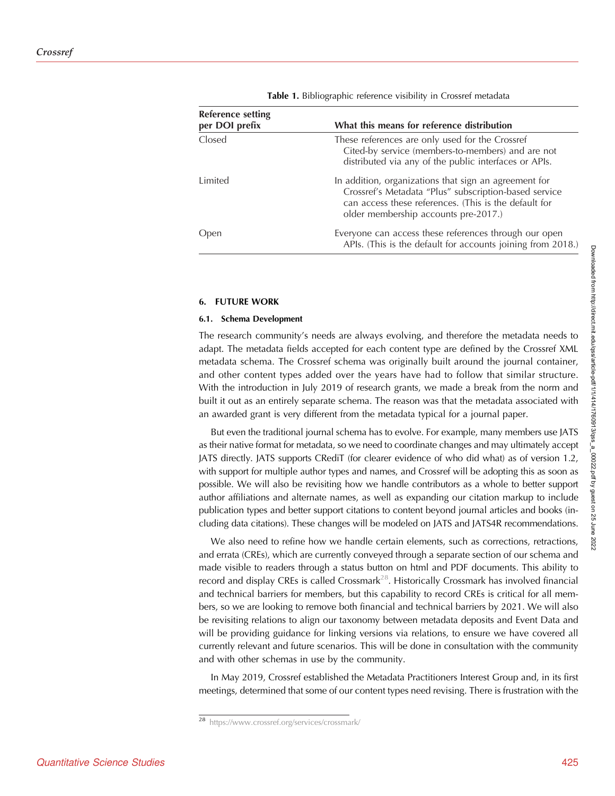<span id="page-11-0"></span>

| <b>Reference setting</b><br>per DOI prefix | What this means for reference distribution                                                                                                                                                                      |
|--------------------------------------------|-----------------------------------------------------------------------------------------------------------------------------------------------------------------------------------------------------------------|
| Closed                                     | These references are only used for the Crossref<br>Cited-by service (members-to-members) and are not<br>distributed via any of the public interfaces or APIs.                                                   |
| Limited                                    | In addition, organizations that sign an agreement for<br>Crossref's Metadata "Plus" subscription-based service<br>can access these references. (This is the default for<br>older membership accounts pre-2017.) |
| Open                                       | Everyone can access these references through our open<br>APIs. (This is the default for accounts joining from 2018.)                                                                                            |

## 6. FUTURE WORK

## 6.1. Schema Development

The research community's needs are always evolving, and therefore the metadata needs to adapt. The metadata fields accepted for each content type are defined by the Crossref XML metadata schema. The Crossref schema was originally built around the journal container, and other content types added over the years have had to follow that similar structure. With the introduction in July 2019 of research grants, we made a break from the norm and built it out as an entirely separate schema. The reason was that the metadata associated with an awarded grant is very different from the metadata typical for a journal paper.

But even the traditional journal schema has to evolve. For example, many members use JATS as their native format for metadata, so we need to coordinate changes and may ultimately accept JATS directly. JATS supports CRediT (for clearer evidence of who did what) as of version 1.2, with support for multiple author types and names, and Crossref will be adopting this as soon as possible. We will also be revisiting how we handle contributors as a whole to better support author affiliations and alternate names, as well as expanding our citation markup to include publication types and better support citations to content beyond journal articles and books (including data citations). These changes will be modeled on JATS and JATS4R recommendations.

We also need to refine how we handle certain elements, such as corrections, retractions, and errata (CREs), which are currently conveyed through a separate section of our schema and made visible to readers through a status button on html and PDF documents. This ability to record and display CREs is called Crossmark<sup>28</sup>. Historically Crossmark has involved financial and technical barriers for members, but this capability to record CREs is critical for all members, so we are looking to remove both financial and technical barriers by 2021. We will also be revisiting relations to align our taxonomy between metadata deposits and Event Data and will be providing guidance for linking versions via relations, to ensure we have covered all currently relevant and future scenarios. This will be done in consultation with the community and with other schemas in use by the community.

In May 2019, Crossref established the Metadata Practitioners Interest Group and, in its first meetings, determined that some of our content types need revising. There is frustration with the

<sup>28</sup> <https://www.crossref.org/services/crossmark/>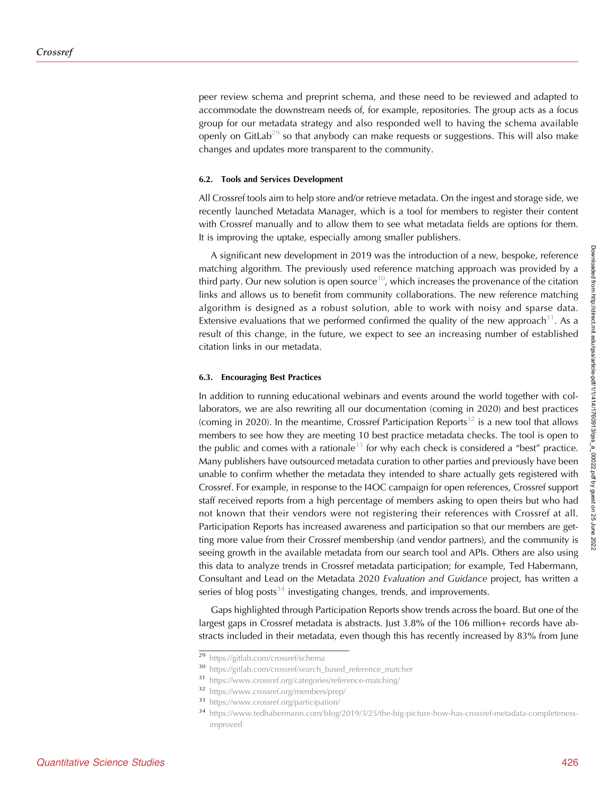peer review schema and preprint schema, and these need to be reviewed and adapted to accommodate the downstream needs of, for example, repositories. The group acts as a focus group for our metadata strategy and also responded well to having the schema available openly on GitLab<sup>29</sup> so that anybody can make requests or suggestions. This will also make changes and updates more transparent to the community.

#### 6.2. Tools and Services Development

All Crossref tools aim to help store and/or retrieve metadata. On the ingest and storage side, we recently launched Metadata Manager, which is a tool for members to register their content with Crossref manually and to allow them to see what metadata fields are options for them. It is improving the uptake, especially among smaller publishers.

A significant new development in 2019 was the introduction of a new, bespoke, reference matching algorithm. The previously used reference matching approach was provided by a third party. Our new solution is open source<sup>30</sup>, which increases the provenance of the citation links and allows us to benefit from community collaborations. The new reference matching algorithm is designed as a robust solution, able to work with noisy and sparse data. Extensive evaluations that we performed confirmed the quality of the new approach  $31$ . As a result of this change, in the future, we expect to see an increasing number of established citation links in our metadata.

# 6.3. Encouraging Best Practices

In addition to running educational webinars and events around the world together with collaborators, we are also rewriting all our documentation (coming in 2020) and best practices (coming in 2020). In the meantime, Crossref Participation Reports<sup>32</sup> is a new tool that allows members to see how they are meeting 10 best practice metadata checks. The tool is open to the public and comes with a rationale<sup>33</sup> for why each check is considered a "best" practice. Many publishers have outsourced metadata curation to other parties and previously have been unable to confirm whether the metadata they intended to share actually gets registered with Crossref. For example, in response to the I4OC campaign for open references, Crossref support staff received reports from a high percentage of members asking to open theirs but who had not known that their vendors were not registering their references with Crossref at all. Participation Reports has increased awareness and participation so that our members are getting more value from their Crossref membership (and vendor partners), and the community is seeing growth in the available metadata from our search tool and APIs. Others are also using this data to analyze trends in Crossref metadata participation; for example, Ted Habermann, Consultant and Lead on the Metadata 2020 Evaluation and Guidance project, has written a series of blog posts<sup>34</sup> investigating changes, trends, and improvements.

Gaps highlighted through Participation Reports show trends across the board. But one of the largest gaps in Crossref metadata is abstracts. Just 3.8% of the 106 million+ records have abstracts included in their metadata, even though this has recently increased by 83% from June

<sup>29</sup> <https://gitlab.com/crossref/schema>

<sup>30</sup> [https://gitlab.com/crossref/search\\_based\\_reference\\_matcher](https://gitlab.com/crossref/search_based_reference_matcher)

<sup>31</sup> <https://www.crossref.org/categories/reference-matching/>

<sup>32</sup> <https://www.crossref.org/members/prep/>

<sup>33</sup> <https://www.crossref.org/participation/>

<sup>34</sup> [https://www.tedhabermann.com/blog/2019/3/25/the-big-picture-how-has-crossref-metadata-completeness](https://www.tedhabermann.com/blog/2019/3/25/the-big-picture-how-has-crossref-metadata-completeness-improved)[improved](https://www.tedhabermann.com/blog/2019/3/25/the-big-picture-how-has-crossref-metadata-completeness-improved)